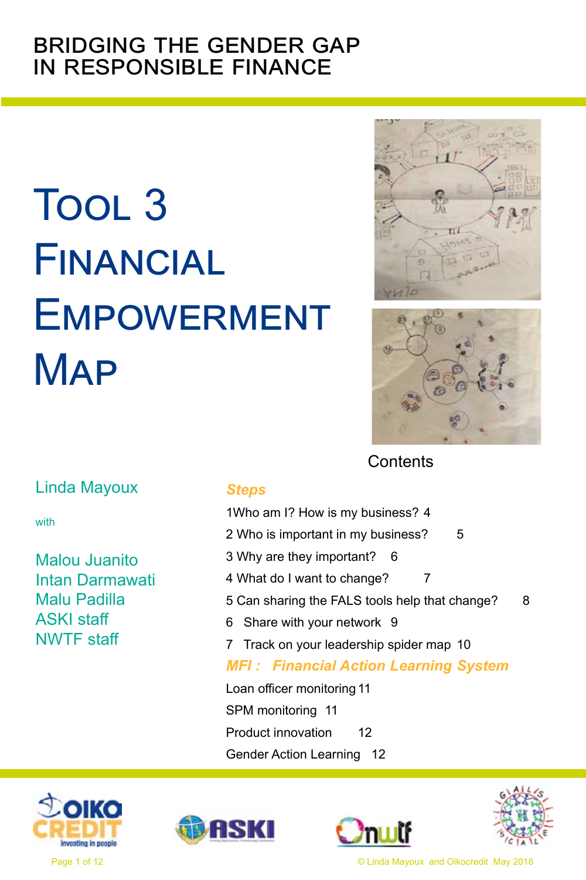## bridging the gender gap in responsible finance

# Tool 3 Financial **EMPOWERMENT MAP**





### **Contents**

### Linda Mayoux

with

Malou Juanito Intan Darmawati Malu Padilla ASKI staff NWTF staff

#### *[Steps](#page-2-0)*

[1Who am I? How is my business?](#page-3-0) 4

[2 Who is important in my business?](#page-4-0) 5

[3 Why are they important? 6](#page-5-0)

[4 What do I want to change? 7](#page-6-0)

[5 Can sharing the FALS tools help that change?](#page-7-0) 8

[6 Share with your network 9](#page-8-0)

[7 Track on your leadership spider map](#page-9-0) 10

#### *[MFI : Financial Action Learning System](#page-10-0)*

[Loan officer monitoring](#page-10-0) 11 [SPM monitoring](#page-10-0) 11 [Product innovation](#page-11-0) 12 Gender Action Learning 12









Page 1 of 12 © Linda Mayoux and Oikocredit May 2018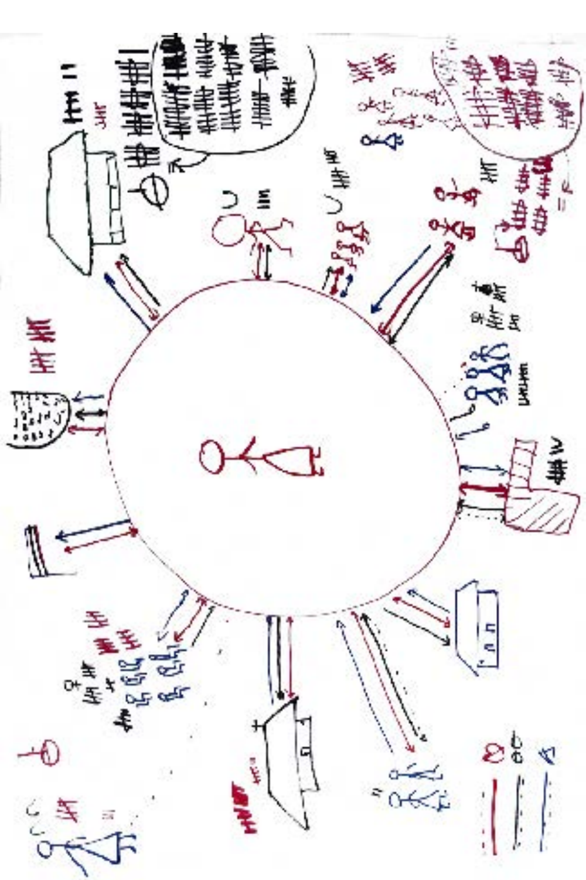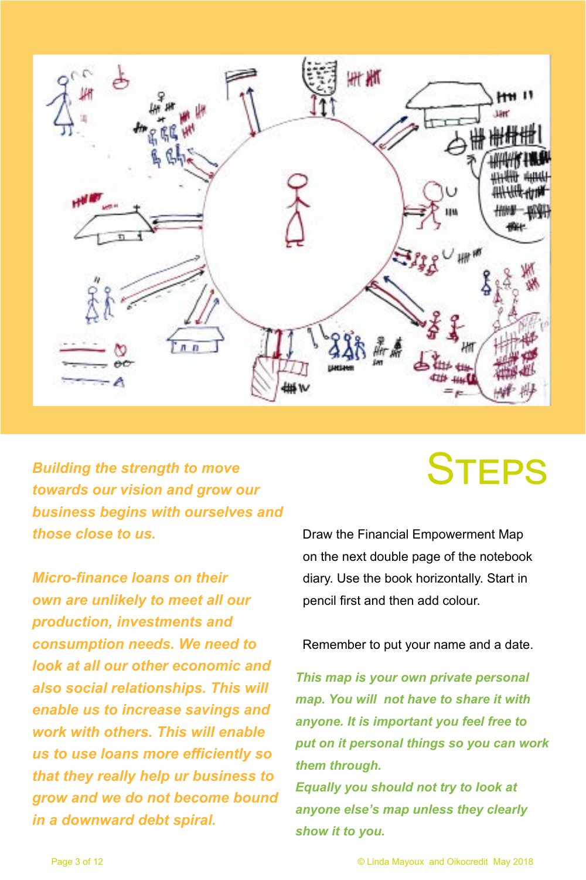<span id="page-2-0"></span>

*Building the strength to move towards our vision and grow our business begins with ourselves and those close to us.* 

*Micro-finance loans on their own are unlikely to meet all our production, investments and consumption needs. We need to look at all our other economic and also social relationships. This will enable us to increase savings and work with others. This will enable us to use loans more efficiently so that they really help ur business to grow and we do not become bound in a downward debt spiral.*

# **STEPS**

Draw the Financial Empowerment Map on the next double page of the notebook diary. Use the book horizontally. Start in pencil first and then add colour.

Remember to put your name and a date.

*This map is your own private personal map. You will not have to share it with anyone. It is important you feel free to put on it personal things so you can work them through. Equally you should not try to look at anyone else's map unless they clearly show it to you.*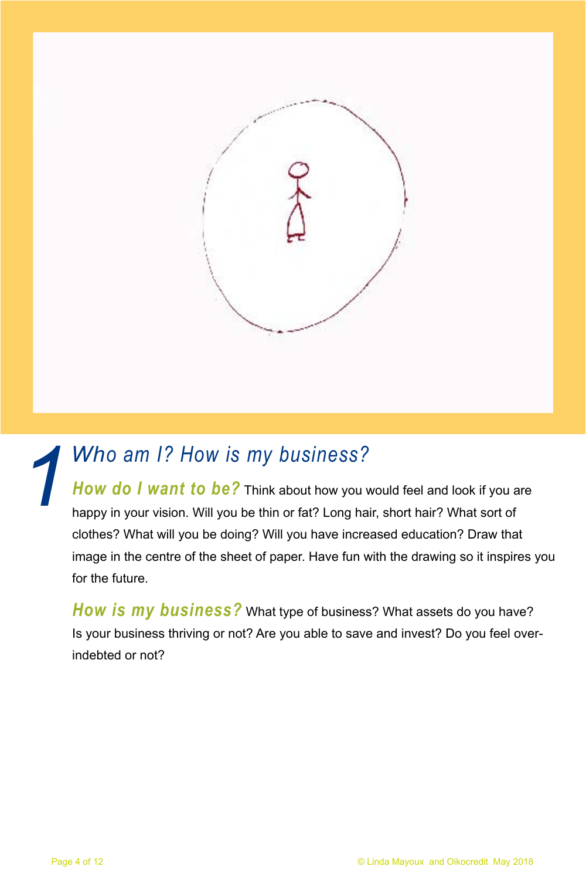<span id="page-3-0"></span>![](_page_3_Figure_0.jpeg)

# *1 Who am I? How is my business?*

*How do I want to be?* Think about how you would feel and look if you are happy in your vision. Will you be thin or fat? Long hair, short hair? What sort of clothes? What will you be doing? Will you have increased education? Draw that image in the centre of the sheet of paper. Have fun with the drawing so it inspires you for the future.

*How is my business?* What type of business? What assets do you have? Is your business thriving or not? Are you able to save and invest? Do you feel overindebted or not?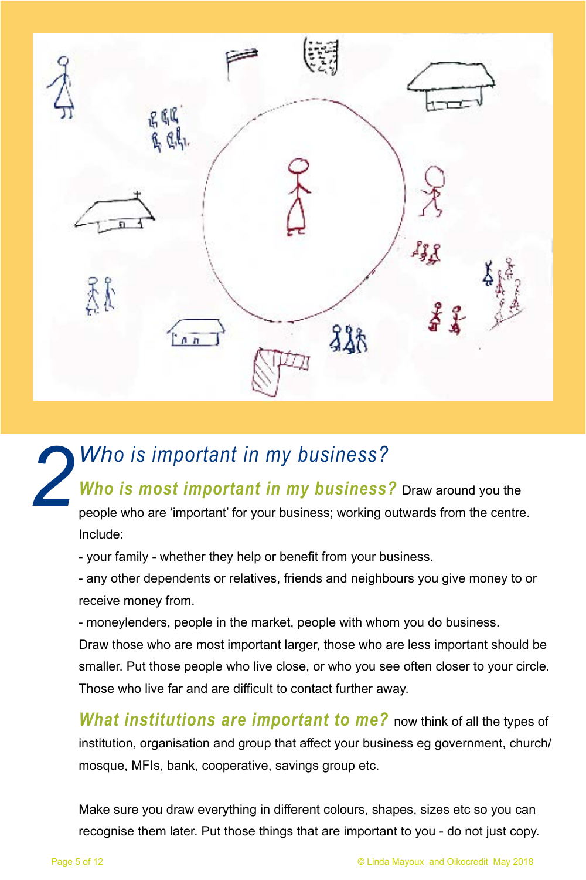<span id="page-4-0"></span>![](_page_4_Figure_0.jpeg)

*2 Who is important in my business? Who is most important in my business?* Draw around you the people who are 'important' for your business; working outwards from the centre.

Include:

- your family - whether they help or benefit from your business.

- any other dependents or relatives, friends and neighbours you give money to or receive money from.

- moneylenders, people in the market, people with whom you do business.

Draw those who are most important larger, those who are less important should be smaller. Put those people who live close, or who you see often closer to your circle. Those who live far and are difficult to contact further away.

**What institutions are important to me?** now think of all the types of institution, organisation and group that affect your business eg government, church/ mosque, MFIs, bank, cooperative, savings group etc.

Make sure you draw everything in different colours, shapes, sizes etc so you can recognise them later. Put those things that are important to you - do not just copy.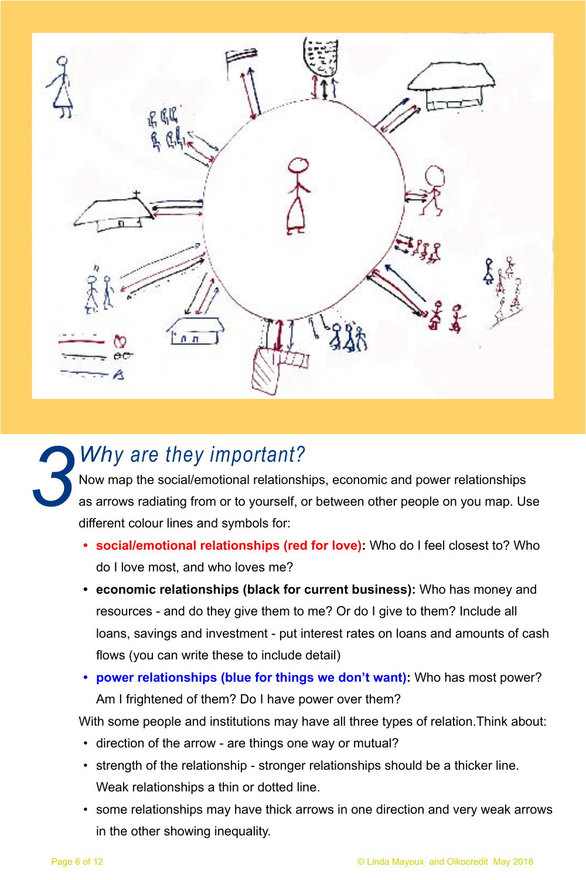<span id="page-5-0"></span>![](_page_5_Figure_0.jpeg)

Now map the social/emotional relationships, economic and power relationships as arrows radiating from or to yourself, or between other people on you map. Use different colour lines and symbols for: *3 Why are they important?* 

- **social/emotional relationships (red for love):** Who do I feel closest to? Who do I love most, and who loves me?
- **economic relationships (black for current business):** Who has money and resources - and do they give them to me? Or do I give to them? Include all loans, savings and investment - put interest rates on loans and amounts of cash flows (you can write these to include detail)
- **power relationships (blue for things we don't want):** Who has most power? Am I frightened of them? Do I have power over them?

With some people and institutions may have all three types of relation.Think about:

- direction of the arrow are things one way or mutual?
- strength of the relationship stronger relationships should be a thicker line. Weak relationships a thin or dotted line.
- some relationships may have thick arrows in one direction and very weak arrows in the other showing inequality.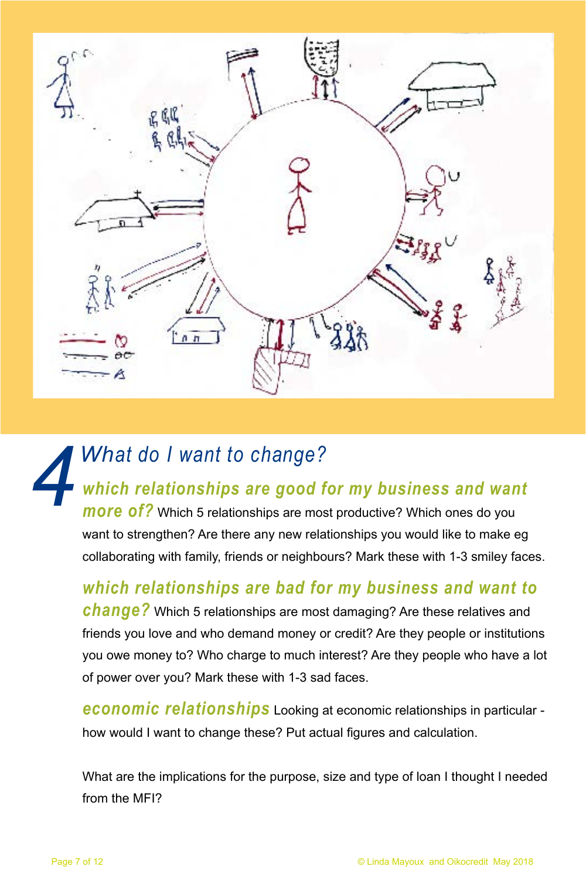<span id="page-6-0"></span>![](_page_6_Figure_0.jpeg)

*4 What do I want to change? which relationships are good for my business and want more of?* Which 5 relationships are most productive? Which ones do you want to strengthen? Are there any new relationships you would like to make eg

*which relationships are bad for my business and want to change?* Which 5 relationships are most damaging? Are these relatives and friends you love and who demand money or credit? Are they people or institutions you owe money to? Who charge to much interest? Are they people who have a lot of power over you? Mark these with 1-3 sad faces.

collaborating with family, friends or neighbours? Mark these with 1-3 smiley faces.

*economic relationships* Looking at economic relationships in particular how would I want to change these? Put actual figures and calculation.

What are the implications for the purpose, size and type of loan I thought I needed from the MFI?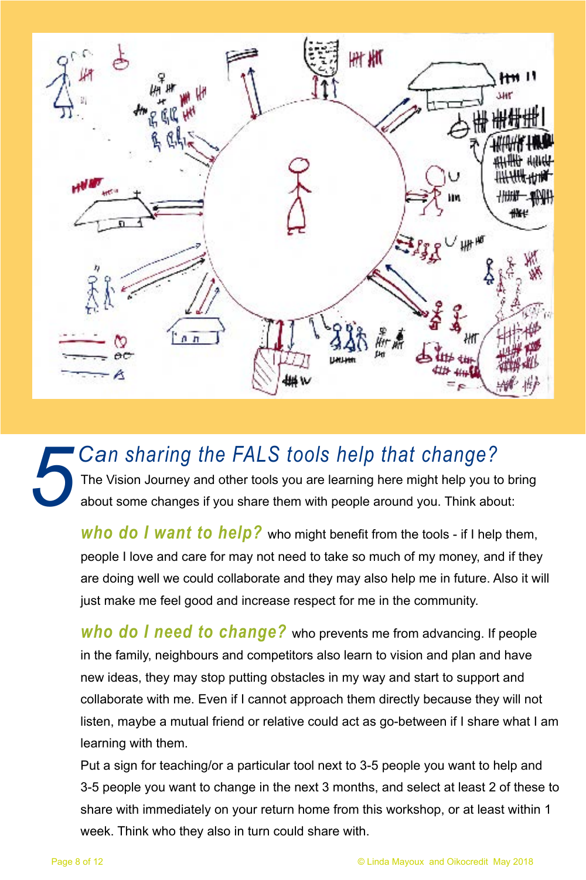<span id="page-7-0"></span>![](_page_7_Figure_0.jpeg)

*5 Can sharing the FALS tools help that change?* The Vision Journey and other tools you are learning here might help you to bring about some changes if you share them with people around you. Think about:

*who do I want to help?* who might benefit from the tools - if I help them, people I love and care for may not need to take so much of my money, and if they are doing well we could collaborate and they may also help me in future. Also it will just make me feel good and increase respect for me in the community.

*who do I need to change?* who prevents me from advancing. If people in the family, neighbours and competitors also learn to vision and plan and have new ideas, they may stop putting obstacles in my way and start to support and collaborate with me. Even if I cannot approach them directly because they will not listen, maybe a mutual friend or relative could act as go-between if I share what I am learning with them.

Put a sign for teaching/or a particular tool next to 3-5 people you want to help and 3-5 people you want to change in the next 3 months, and select at least 2 of these to share with immediately on your return home from this workshop, or at least within 1 week. Think who they also in turn could share with.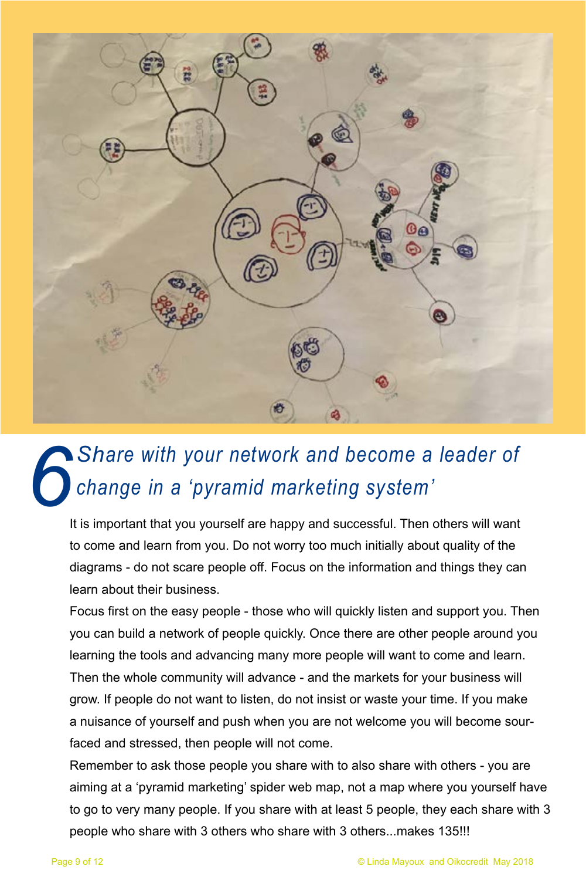<span id="page-8-0"></span>![](_page_8_Picture_0.jpeg)

# *6 Share with your network and become a leader of change in a 'pyramid marketing system'*

It is important that you yourself are happy and successful. Then others will want to come and learn from you. Do not worry too much initially about quality of the diagrams - do not scare people off. Focus on the information and things they can learn about their business.

Focus first on the easy people - those who will quickly listen and support you. Then you can build a network of people quickly. Once there are other people around you learning the tools and advancing many more people will want to come and learn. Then the whole community will advance - and the markets for your business will grow. If people do not want to listen, do not insist or waste your time. If you make a nuisance of yourself and push when you are not welcome you will become sourfaced and stressed, then people will not come.

Remember to ask those people you share with to also share with others - you are aiming at a 'pyramid marketing' spider web map, not a map where you yourself have to go to very many people. If you share with at least 5 people, they each share with 3 people who share with 3 others who share with 3 others...makes 135!!!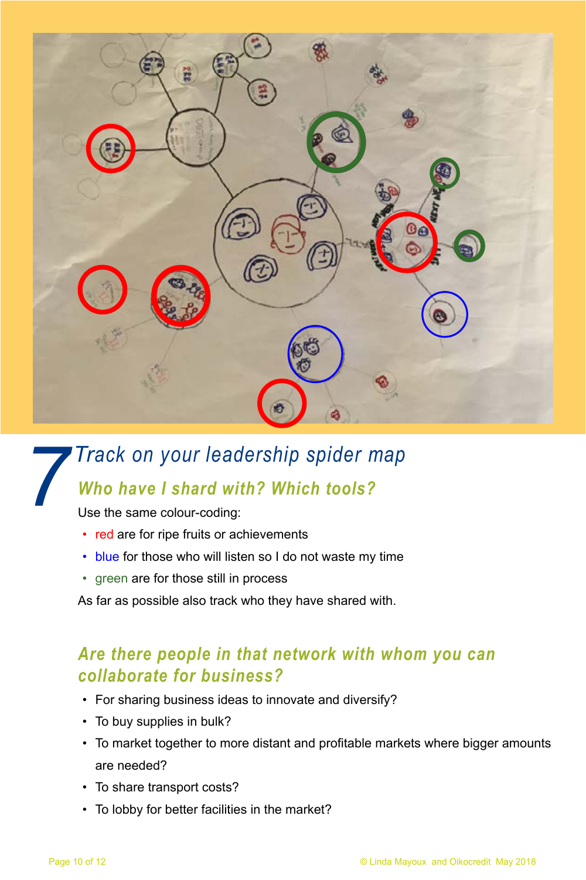<span id="page-9-0"></span>![](_page_9_Picture_0.jpeg)

# *7 Track on your leadership spider map Who have I shard with? Which tools?*

Use the same colour-coding:

- red are for ripe fruits or achievements
- blue for those who will listen so I do not waste my time
- green are for those still in process

As far as possible also track who they have shared with.

### *Are there people in that network with whom you can collaborate for business?*

- For sharing business ideas to innovate and diversify?
- To buy supplies in bulk?
- To market together to more distant and profitable markets where bigger amounts are needed?
- To share transport costs?
- To lobby for better facilities in the market?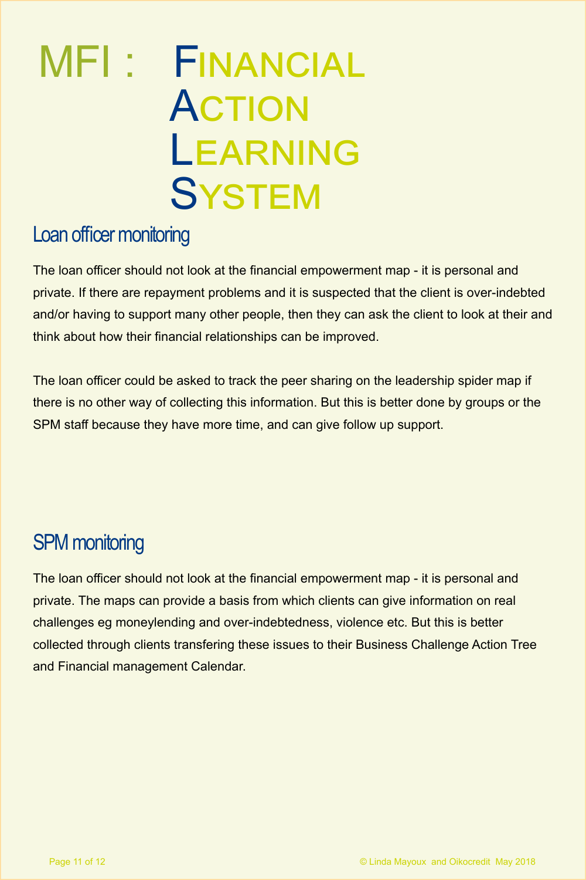# <span id="page-10-0"></span>MFI : Financial **ACTION LEARNING SYSTEM**

## Loan officer monitoring

The loan officer should not look at the financial empowerment map - it is personal and private. If there are repayment problems and it is suspected that the client is over-indebted and/or having to support many other people, then they can ask the client to look at their and think about how their financial relationships can be improved.

The loan officer could be asked to track the peer sharing on the leadership spider map if there is no other way of collecting this information. But this is better done by groups or the SPM staff because they have more time, and can give follow up support.

## SPM monitoring

The loan officer should not look at the financial empowerment map - it is personal and private. The maps can provide a basis from which clients can give information on real challenges eg moneylending and over-indebtedness, violence etc. But this is better collected through clients transfering these issues to their Business Challenge Action Tree and Financial management Calendar.